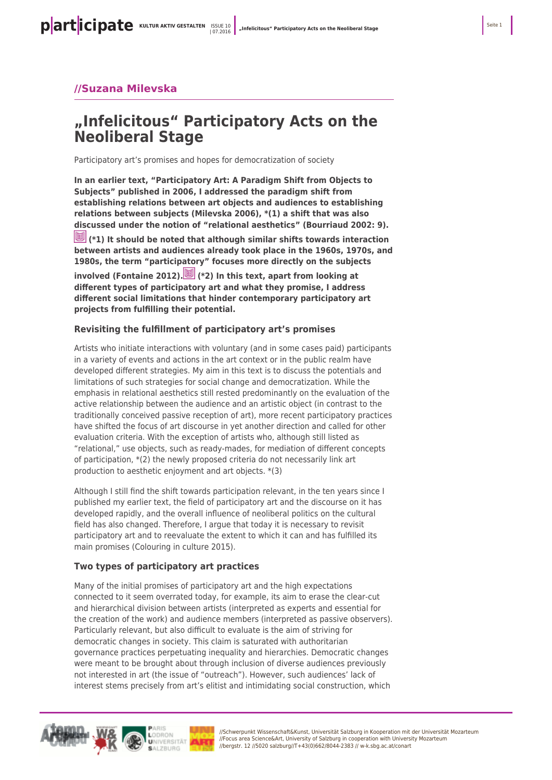# **//Suzana Milevska**

# **"Infelicitous" Participatory Acts on the Neoliberal Stage**

Participatory art's promises and hopes for democratization of society

**In an earlier text, "Participatory Art: A Paradigm Shift from Objects to Subjects" published in 2006, I addressed the paradigm shift from establishing relations between art objects and audiences to establishing relations between subjects (Milevska 2006), \*(1) a shift that was also discussed under the notion of "relational aesthetics" (Bourriaud 2002: 9).**

**(\*1) It should be noted that although similar shifts towards interaction between artists and audiences already took place in the 1960s, 1970s, and 1980s, the term "participatory" focuses more directly on the subjects**

**involved (Fontaine 2012). (\*2) In this text, apart from looking at different types of participatory art and what they promise, I address different social limitations that hinder contemporary participatory art projects from fulfilling their potential.**

## **Revisiting the fulfillment of participatory art's promises**

Artists who initiate interactions with voluntary (and in some cases paid) participants in a variety of events and actions in the art context or in the public realm have developed different strategies. My aim in this text is to discuss the potentials and limitations of such strategies for social change and democratization. While the emphasis in relational aesthetics still rested predominantly on the evaluation of the active relationship between the audience and an artistic object (in contrast to the traditionally conceived passive reception of art), more recent participatory practices have shifted the focus of art discourse in yet another direction and called for other evaluation criteria. With the exception of artists who, although still listed as "relational," use objects, such as ready-mades, for mediation of different concepts of participation, \*(2) the newly proposed criteria do not necessarily link art production to aesthetic enjoyment and art objects. \*(3)

Although I still find the shift towards participation relevant, in the ten years since I published my earlier text, the field of participatory art and the discourse on it has developed rapidly, and the overall influence of neoliberal politics on the cultural field has also changed. Therefore, I argue that today it is necessary to revisit participatory art and to reevaluate the extent to which it can and has fulfilled its main promises (Colouring in culture 2015).

## **Two types of participatory art practices**

Many of the initial promises of participatory art and the high expectations connected to it seem overrated today, for example, its aim to erase the clear-cut and hierarchical division between artists (interpreted as experts and essential for the creation of the work) and audience members (interpreted as passive observers). Particularly relevant, but also difficult to evaluate is the aim of striving for democratic changes in society. This claim is saturated with authoritarian governance practices perpetuating inequality and hierarchies. Democratic changes were meant to be brought about through inclusion of diverse audiences previously not interested in art (the issue of "outreach"). However, such audiences' lack of interest stems precisely from art's elitist and intimidating social construction, which

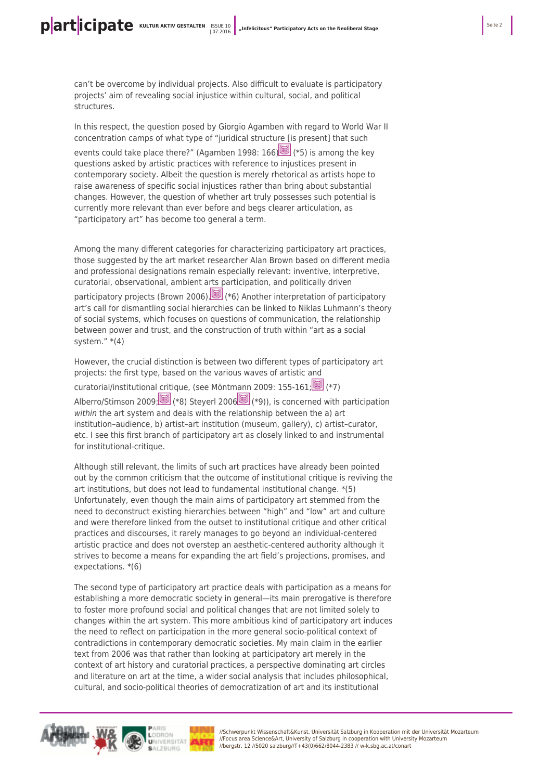can't be overcome by individual projects. Also difficult to evaluate is participatory projects' aim of revealing social injustice within cultural, social, and political structures.

In this respect, the question posed by Giorgio Agamben with regard to World War II concentration camps of what type of "juridical structure [is present] that such

eventscould take place there?" (Agamben 1998: 166)  $\mathbb{E}$  (\*5) is among the key questions asked by artistic practices with reference to injustices present in contemporary society. Albeit the question is merely rhetorical as artists hope to raise awareness of specific social injustices rather than bring about substantial changes. However, the question of whether art truly possesses such potential is currently more relevant than ever before and begs clearer articulation, as "participatory art" has become too general a term.

Among the many different categories for characterizing participatory art practices, those suggested by the art market researcher Alan Brown based on different media and professional designations remain especially relevant: inventive, interpretive, curatorial, observational, ambient arts participation, and politically driven participatory projects (Brown 2006)[.](#page-7-3) (\*6) Another interpretation of participatory art's call for dismantling social hierarchies can be linked to Niklas Luhmann's theory of social systems, which focuses on questions of communication, the relationship between power and trust, and the construction of truth within "art as a social system." \*(4)

However, the crucial distinction is between two different types of participatory art projects: the first type, based on the various waves of artistic and

curatorial/institutional critique, (see Möntmann 2009: 155-161[;](#page-7-4) Alberro/Stimson2009; (3) (\*8) Steverl 200[6](#page-8-1) (3) (\*9)), is concerned with participation within the art system and deals with the relationship between the a) art institution–audience, b) artist–art institution (museum, gallery), c) artist–curator, etc. I see this first branch of participatory art as closely linked to and instrumental for institutional-critique.

Although still relevant, the limits of such art practices have already been pointed out by the common criticism that the outcome of institutional critique is reviving the art institutions, but does not lead to fundamental institutional change. \*(5) Unfortunately, even though the main aims of participatory art stemmed from the need to deconstruct existing hierarchies between "high" and "low" art and culture and were therefore linked from the outset to institutional critique and other critical practices and discourses, it rarely manages to go beyond an individual-centered artistic practice and does not overstep an aesthetic-centered authority although it strives to become a means for expanding the art field's projections, promises, and expectations. \*(6)

The second type of participatory art practice deals with participation as a means for establishing a more democratic society in general—its main prerogative is therefore to foster more profound social and political changes that are not limited solely to changes within the art system. This more ambitious kind of participatory art induces the need to reflect on participation in the more general socio-political context of contradictions in contemporary democratic societies. My main claim in the earlier text from 2006 was that rather than looking at participatory art merely in the context of art history and curatorial practices, a perspective dominating art circles and literature on art at the time, a wider social analysis that includes philosophical, cultural, and socio-political theories of democratization of art and its institutional

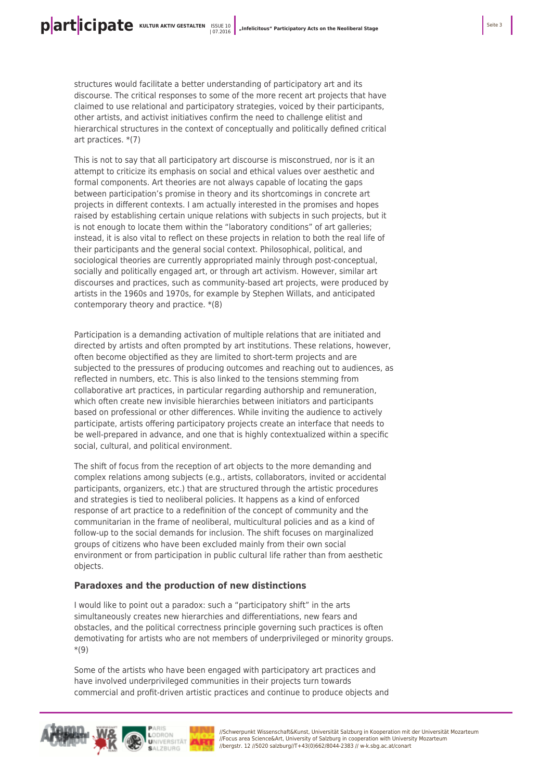structures would facilitate a better understanding of participatory art and its discourse. The critical responses to some of the more recent art projects that have claimed to use relational and participatory strategies, voiced by their participants, other artists, and activist initiatives confirm the need to challenge elitist and hierarchical structures in the context of conceptually and politically defined critical art practices. \*(7)

This is not to say that all participatory art discourse is misconstrued, nor is it an attempt to criticize its emphasis on social and ethical values over aesthetic and formal components. Art theories are not always capable of locating the gaps between participation's promise in theory and its shortcomings in concrete art projects in different contexts. I am actually interested in the promises and hopes raised by establishing certain unique relations with subjects in such projects, but it is not enough to locate them within the "laboratory conditions" of art galleries; instead, it is also vital to reflect on these projects in relation to both the real life of their participants and the general social context. Philosophical, political, and sociological theories are currently appropriated mainly through post-conceptual, socially and politically engaged art, or through art activism. However, similar art discourses and practices, such as community-based art projects, were produced by artists in the 1960s and 1970s, for example by Stephen Willats, and anticipated contemporary theory and practice. \*(8)

Participation is a demanding activation of multiple relations that are initiated and directed by artists and often prompted by art institutions. These relations, however, often become objectified as they are limited to short-term projects and are subjected to the pressures of producing outcomes and reaching out to audiences, as reflected in numbers, etc. This is also linked to the tensions stemming from collaborative art practices, in particular regarding authorship and remuneration, which often create new invisible hierarchies between initiators and participants based on professional or other differences. While inviting the audience to actively participate, artists offering participatory projects create an interface that needs to be well-prepared in advance, and one that is highly contextualized within a specific social, cultural, and political environment.

The shift of focus from the reception of art objects to the more demanding and complex relations among subjects (e.g., artists, collaborators, invited or accidental participants, organizers, etc.) that are structured through the artistic procedures and strategies is tied to neoliberal policies. It happens as a kind of enforced response of art practice to a redefinition of the concept of community and the communitarian in the frame of neoliberal, multicultural policies and as a kind of follow-up to the social demands for inclusion. The shift focuses on marginalized groups of citizens who have been excluded mainly from their own social environment or from participation in public cultural life rather than from aesthetic objects.

#### **Paradoxes and the production of new distinctions**

I would like to point out a paradox: such a "participatory shift" in the arts simultaneously creates new hierarchies and differentiations, new fears and obstacles, and the political correctness principle governing such practices is often demotivating for artists who are not members of underprivileged or minority groups. \*(9)

Some of the artists who have been engaged with participatory art practices and have involved underprivileged communities in their projects turn towards commercial and profit-driven artistic practices and continue to produce objects and



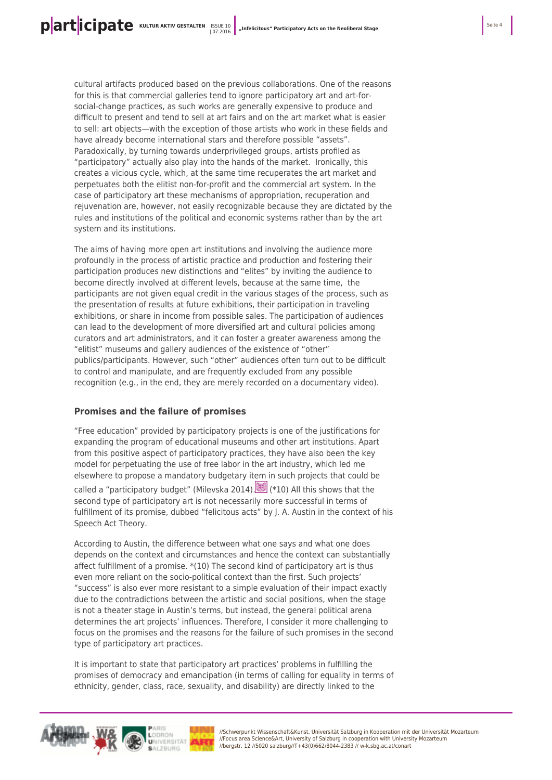cultural artifacts produced based on the previous collaborations. One of the reasons for this is that commercial galleries tend to ignore participatory art and art-forsocial-change practices, as such works are generally expensive to produce and difficult to present and tend to sell at art fairs and on the art market what is easier to sell: art objects—with the exception of those artists who work in these fields and have already become international stars and therefore possible "assets". Paradoxically, by turning towards underprivileged groups, artists profiled as "participatory" actually also play into the hands of the market. Ironically, this creates a vicious cycle, which, at the same time recuperates the art market and perpetuates both the elitist non-for-profit and the commercial art system. In the case of participatory art these mechanisms of appropriation, recuperation and rejuvenation are, however, not easily recognizable because they are dictated by the rules and institutions of the political and economic systems rather than by the art system and its institutions.

The aims of having more open art institutions and involving the audience more profoundly in the process of artistic practice and production and fostering their participation produces new distinctions and "elites" by inviting the audience to become directly involved at different levels, because at the same time, the participants are not given equal credit in the various stages of the process, such as the presentation of results at future exhibitions, their participation in traveling exhibitions, or share in income from possible sales. The participation of audiences can lead to the development of more diversified art and cultural policies among curators and art administrators, and it can foster a greater awareness among the "elitist" museums and gallery audiences of the existence of "other" publics/participants. However, such "other" audiences often turn out to be difficult to control and manipulate, and are frequently excluded from any possible recognition (e.g., in the end, they are merely recorded on a documentary video).

#### **Promises and the failure of promises**

"Free education" provided by participatory projects is one of the justifications for expanding the program of educational museums and other art institutions. Apart from this positive aspect of participatory practices, they have also been the key model for perpetuating the use of free labor in the art industry, which led me elsewhere to propose a mandatory budgetary item in such projects that could be called a "participatory budget" (Milevska 2014). (\*10) All this shows that the second type of participatory art is not necessarily more successful in terms of fulfillment of its promise, dubbed "felicitous acts" by J. A. Austin in the context of his Speech Act Theory.

According to Austin, the difference between what one says and what one does depends on the context and circumstances and hence the context can substantially affect fulfillment of a promise. \*(10) The second kind of participatory art is thus even more reliant on the socio-political context than the first. Such projects' "success" is also ever more resistant to a simple evaluation of their impact exactly due to the contradictions between the artistic and social positions, when the stage is not a theater stage in Austin's terms, but instead, the general political arena determines the art projects' influences. Therefore, I consider it more challenging to focus on the promises and the reasons for the failure of such promises in the second type of participatory art practices.

It is important to state that participatory art practices' problems in fulfilling the promises of democracy and emancipation (in terms of calling for equality in terms of ethnicity, gender, class, race, sexuality, and disability) are directly linked to the

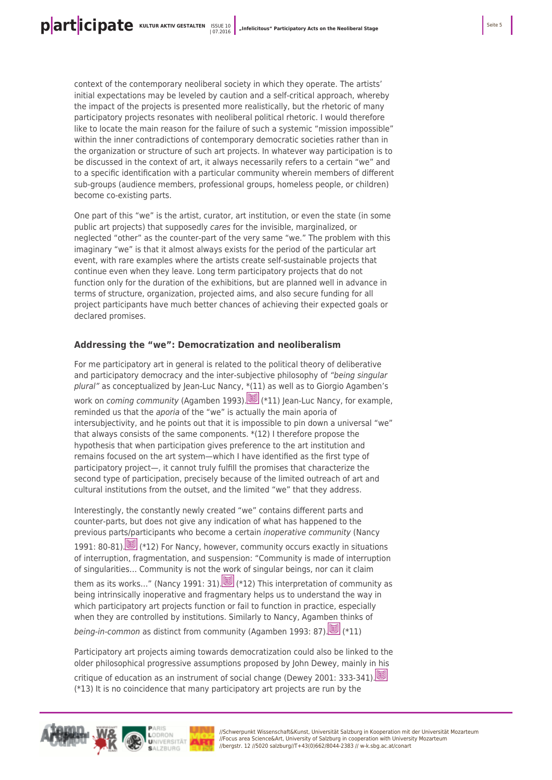context of the contemporary neoliberal society in which they operate. The artists' initial expectations may be leveled by caution and a self-critical approach, whereby the impact of the projects is presented more realistically, but the rhetoric of many participatory projects resonates with neoliberal political rhetoric. I would therefore like to locate the main reason for the failure of such a systemic "mission impossible" within the inner contradictions of contemporary democratic societies rather than in the organization or structure of such art projects. In whatever way participation is to be discussed in the context of art, it always necessarily refers to a certain "we" and to a specific identification with a particular community wherein members of different sub-groups (audience members, professional groups, homeless people, or children) become co-existing parts.

One part of this "we" is the artist, curator, art institution, or even the state (in some public art projects) that supposedly cares for the invisible, marginalized, or neglected "other" as the counter-part of the very same "we." The problem with this imaginary "we" is that it almost always exists for the period of the particular art event, with rare examples where the artists create self-sustainable projects that continue even when they leave. Long term participatory projects that do not function only for the duration of the exhibitions, but are planned well in advance in terms of structure, organization, projected aims, and also secure funding for all project participants have much better chances of achieving their expected goals or declared promises.

#### **Addressing the "we": Democratization and neoliberalism**

For me participatory art in general is related to the political theory of deliberative and participatory democracy and the inter-subjective philosophy of "being singular plural" as conceptualized by Jean-Luc Nancy, \*(11) as well as to Giorgio Agamben's work on coming community (Agamben 1993)[.](#page-8-3) (11) Jean-Luc Nancy, for example, reminded us that the aporia of the "we" is actually the main aporia of intersubjectivity, and he points out that it is impossible to pin down a universal "we" that always consists of the same components. \*(12) I therefore propose the hypothesis that when participation gives preference to the art institution and remains focused on the art system—which I have identified as the first type of participatory project—, it cannot truly fulfill the promises that characterize the second type of participation, precisely because of the limited outreach of art and cultural institutions from the outset, and the limited "we" that they address.

Interestingly, the constantly newly created "we" contains different parts and counter-parts, but does not give any indication of what has happened to the previous parts/participants who become a certain inoperative community (Nancy 1991: 80-81)[.](#page-8-4) (\*12) For Nancy, however, community occurs exactly in situations of interruption, fragmentation, and suspension: "Community is made of interruption of singularities… Community is not the work of singular beings, nor can it claim them as its works[.](#page-8-4).." (Nancy 1991: 31). ( $\mathbb{E}$  (\*12) This interpretation of community as being intrinsically inoperative and fragmentary helps us to understand the way in which participatory art projects function or fail to function in practice, especially when they are controlled by institutions. Similarly to Nancy, Agamben thinks of being-in-common as distinct from community (Agamben 1993: 87)[.](#page-8-3) (3) (\*11)

Participatory art projects aiming towards democratization could also be linked to the older philosophical progressive assumptions proposed by John Dewey, mainly in his critique of education as an instrument of social change (Dewey 2001: 333-341)[.](#page-8-5) (\*13) It is no coincidence that many participatory art projects are run by the

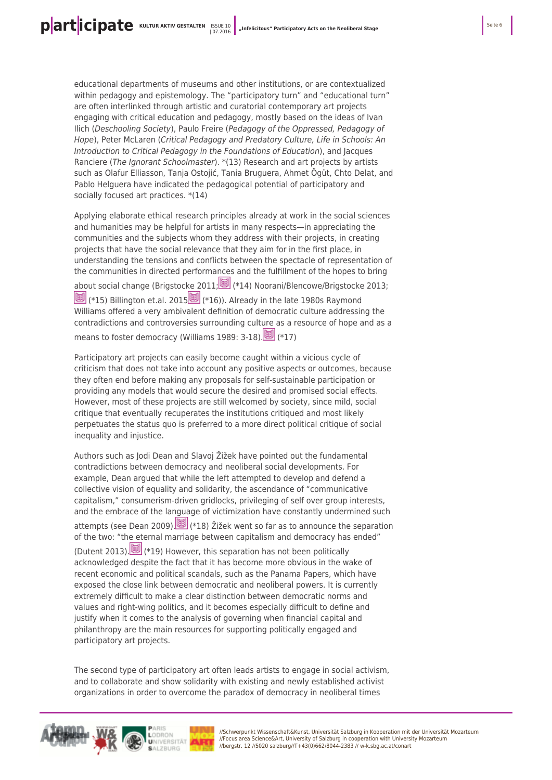educational departments of museums and other institutions, or are contextualized within pedagogy and epistemology. The "participatory turn" and "educational turn" are often interlinked through artistic and curatorial contemporary art projects engaging with critical education and pedagogy, mostly based on the ideas of Ivan Ilich (Deschooling Society), Paulo Freire (Pedagogy of the Oppressed, Pedagogy of Hope), Peter McLaren (Critical Pedagogy and Predatory Culture, Life in Schools: An Introduction to Critical Pedagogy in the Foundations of Education), and Jacques Ranciere (The Ignorant Schoolmaster). \*(13) Research and art projects by artists such as Olafur Elliasson, Tanja Ostojić, Tania Bruguera, Ahmet Ögüt, Chto Delat, and Pablo Helguera have indicated the pedagogical potential of participatory and socially focused art practices. \*(14)

Applying elaborate ethical research principles already at work in the social sciences and humanities may be helpful for artists in many respects—in appreciating the communities and the subjects whom they address with their projects, in creating projects that have the social relevance that they aim for in the first place, in understanding the tensions and conflicts between the spectacle of representation of the communities in directed performances and the fulfillment of the hopes to bring about social change (Brigstocke 2011;(\*14) Noorani/Blencowe/Brigstocke 2013; (\*15) Billington et.al. 2015(\*16)). Already in the late 1980s Raymond Williams offered a very ambivalent definition of democratic culture addressing the

contradictions and controversies surrounding culture as a resource of hope and as a means to foster democracy (Williams 1989: 3-18).(\*17)

Participatory art projects can easily become caught within a vicious cycle of criticism that does not take into account any positive aspects or outcomes, because they often end before making any proposals for self-sustainable participation or providing any models that would secure the desired and promised social effects. However, most of these projects are still welcomed by society, since mild, social critique that eventually recuperates the institutions critiqued and most likely perpetuates the status quo is preferred to a more direct political critique of social inequality and injustice.

Authors such as Jodi Dean and Slavoj Žižek have pointed out the fundamental contradictions between democracy and neoliberal social developments. For example, Dean argued that while the left attempted to develop and defend a collective vision of equality and solidarity, the ascendance of "communicative capitalism," consumerism-driven gridlocks, privileging of self over group interests, and the embrace of the language of victimization have constantly undermined such attempts (see Dean 2009)[.](#page-8-10) (\*18) Žižek went so far as to announce the separation of the two: "the eternal marriage between capitalism and democracy has ended" (Dutent 2013).(\*19) However, this separation has not been politically acknowledged despite the fact that it has become more obvious in the wake of recent economic and political scandals, such as the Panama Papers, which have exposed the close link between democratic and neoliberal powers. It is currently extremely difficult to make a clear distinction between democratic norms and values and right-wing politics, and it becomes especially difficult to define and justify when it comes to the analysis of governing when financial capital and philanthropy are the main resources for supporting politically engaged and participatory art projects.

The second type of participatory art often leads artists to engage in social activism, and to collaborate and show solidarity with existing and newly established activist organizations in order to overcome the paradox of democracy in neoliberal times

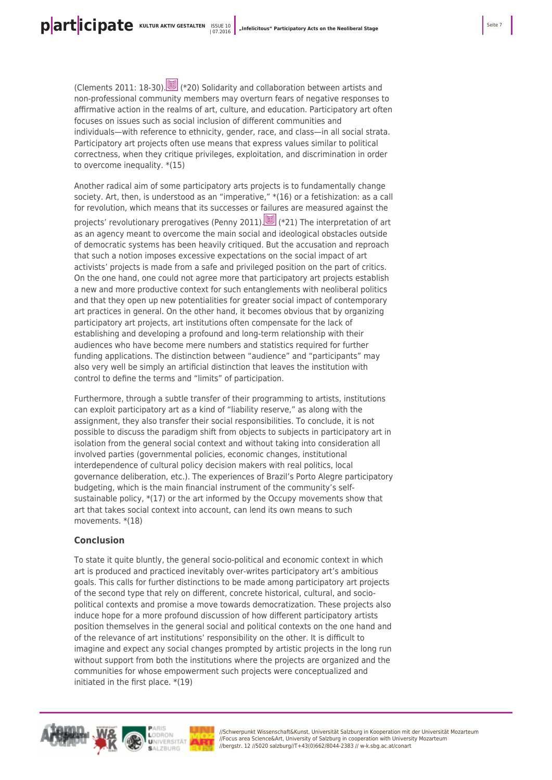(Clements 2011: 18-30)[.](#page-8-12) (\*20) Solidarity and collaboration between artists and non-professional community members may overturn fears of negative responses to affirmative action in the realms of art, culture, and education. Participatory art often focuses on issues such as social inclusion of different communities and individuals—with reference to ethnicity, gender, race, and class—in all social strata. Participatory art projects often use means that express values similar to political correctness, when they critique privileges, exploitation, and discrimination in order to overcome inequality. \*(15)

Another radical aim of some participatory arts projects is to fundamentally change society. Art, then, is understood as an "imperative," \*(16) or a fetishization: as a call for revolution, which means that its successes or failures are measured against the projects' revolutionary prerogatives (Penny 2011)[.](#page-8-13) (\*21) The interpretation of art as an agency meant to overcome the main social and ideological obstacles outside of democratic systems has been heavily critiqued. But the accusation and reproach that such a notion imposes excessive expectations on the social impact of art activists' projects is made from a safe and privileged position on the part of critics. On the one hand, one could not agree more that participatory art projects establish a new and more productive context for such entanglements with neoliberal politics and that they open up new potentialities for greater social impact of contemporary art practices in general. On the other hand, it becomes obvious that by organizing participatory art projects, art institutions often compensate for the lack of establishing and developing a profound and long-term relationship with their audiences who have become mere numbers and statistics required for further funding applications. The distinction between "audience" and "participants" may also very well be simply an artificial distinction that leaves the institution with control to define the terms and "limits" of participation.

Furthermore, through a subtle transfer of their programming to artists, institutions can exploit participatory art as a kind of "liability reserve," as along with the assignment, they also transfer their social responsibilities. To conclude, it is not possible to discuss the paradigm shift from objects to subjects in participatory art in isolation from the general social context and without taking into consideration all involved parties (governmental policies, economic changes, institutional interdependence of cultural policy decision makers with real politics, local governance deliberation, etc.). The experiences of Brazil's Porto Alegre participatory budgeting, which is the main financial instrument of the community's selfsustainable policy,  $*(17)$  or the art informed by the Occupy movements show that art that takes social context into account, can lend its own means to such movements. \*(18)

#### **Conclusion**

To state it quite bluntly, the general socio-political and economic context in which art is produced and practiced inevitably over-writes participatory art's ambitious goals. This calls for further distinctions to be made among participatory art projects of the second type that rely on different, concrete historical, cultural, and sociopolitical contexts and promise a move towards democratization. These projects also induce hope for a more profound discussion of how different participatory artists position themselves in the general social and political contexts on the one hand and of the relevance of art institutions' responsibility on the other. It is difficult to imagine and expect any social changes prompted by artistic projects in the long run without support from both the institutions where the projects are organized and the communities for whose empowerment such projects were conceptualized and initiated in the first place. \*(19)

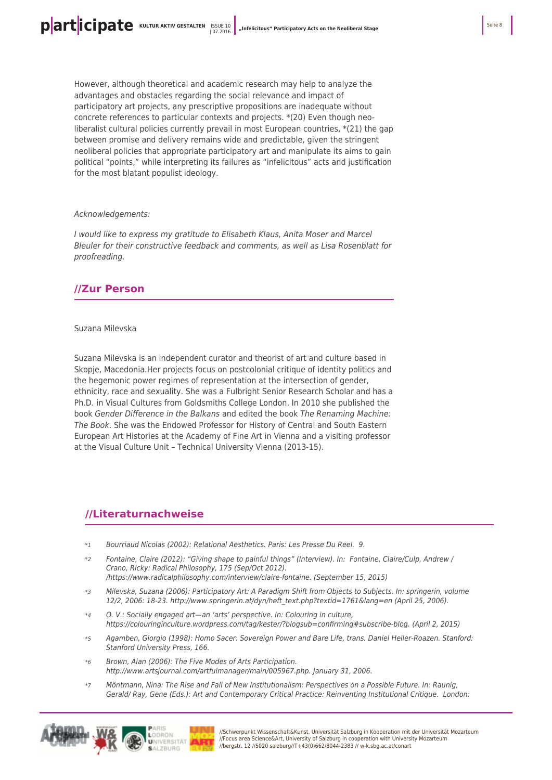However, although theoretical and academic research may help to analyze the advantages and obstacles regarding the social relevance and impact of participatory art projects, any prescriptive propositions are inadequate without concrete references to particular contexts and projects. \*(20) Even though neoliberalist cultural policies currently prevail in most European countries, \*(21) the gap between promise and delivery remains wide and predictable, given the stringent neoliberal policies that appropriate participatory art and manipulate its aims to gain political "points," while interpreting its failures as "infelicitous" acts and justification for the most blatant populist ideology.

#### Acknowledgements:

I would like to express my gratitude to Elisabeth Klaus, Anita Moser and Marcel Bleuler for their constructive feedback and comments, as well as Lisa Rosenblatt for proofreading.

## **//Zur Person**

#### Suzana Milevska

Suzana Milevska is an independent curator and theorist of art and culture based in Skopje, Macedonia.Her projects focus on postcolonial critique of identity politics and the hegemonic power regimes of representation at the intersection of gender, ethnicity, race and sexuality. She was a Fulbright Senior Research Scholar and has a Ph.D. in Visual Cultures from Goldsmiths College London. In 2010 she published the book Gender Difference in the Balkans and edited the book The Renaming Machine: The Book. She was the Endowed Professor for History of Central and South Eastern European Art Histories at the Academy of Fine Art in Vienna and a visiting professor at the Visual Culture Unit – Technical University Vienna (2013-15).

## **//Literaturnachweise**

- <span id="page-7-0"></span>\*1 Bourriaud Nicolas (2002): Relational Aesthetics. Paris: Les Presse Du Reel. 9.
- <span id="page-7-1"></span>\*2 Fontaine, Claire (2012): "Giving shape to painful things" (Interview). In: Fontaine, Claire/Culp, Andrew / Crano, Ricky: Radical Philosophy, 175 (Sep/Oct 2012). /https://www.radicalphilosophy.com/interview/claire-fontaine. (September 15, 2015)
- \*3 Milevska, Suzana (2006): Participatory Art: A Paradigm Shift from Objects to Subjects. In: springerin, volume 12/2, 2006: 18-23. http://www.springerin.at/dyn/heft\_text.php?textid=1761&lang=en (April 25, 2006).
- \*4 O. V.: Socially engaged art—an 'arts' perspective. In: Colouring in culture, https://colouringinculture.wordpress.com/tag/kester/?blogsub=confirming#subscribe-blog. (April 2, 2015)
- <span id="page-7-2"></span>\*5 Agamben, Giorgio (1998): Homo Sacer: Sovereign Power and Bare Life, trans. Daniel Heller-Roazen. Stanford: Stanford University Press, 166.
- \*6 Brown, Alan (2006): The Five Modes of Arts Participation. http://www.artsjournal.com/artfulmanager/main/005967.php. January 31, 2006.
- \*7 Möntmann, Nina: The Rise and Fall of New Institutionalism: Perspectives on a Possible Future. In: Raunig, Gerald/ Ray, Gene (Eds.): Art and Contemporary Critical Practice: Reinventing Institutional Critique. London:

<span id="page-7-4"></span><span id="page-7-3"></span>

VERSITÄT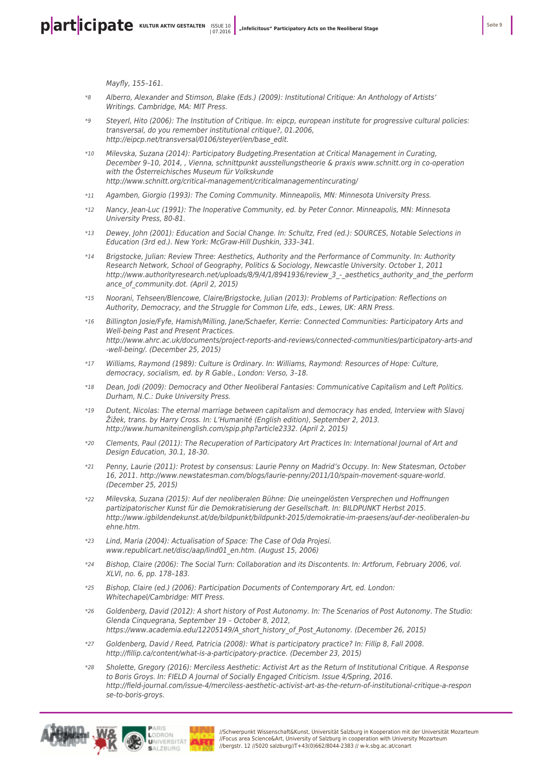Mayfly, 155–161.

- <span id="page-8-0"></span>\*8 Alberro, Alexander and Stimson, Blake (Eds.) (2009): Institutional Critique: An Anthology of Artists' Writings. Cambridge, MA: MIT Press.
- <span id="page-8-1"></span>\*9 Steyerl, Hito (2006): The Institution of Critique. In: eipcp, european institute for progressive cultural policies: transversal, do you remember institutional critique?, 01.2006, http://eipcp.net/transversal/0106/steyerl/en/base\_edit.
- <span id="page-8-2"></span>\*10 Milevska, Suzana (2014): Participatory Budgeting.Presentation at Critical Management in Curating, December 9–10, 2014, , Vienna, schnittpunkt ausstellungstheorie & praxis www.schnitt.org in co-operation with the Österreichisches Museum für Volkskunde http://www.schnitt.org/critical-management/criticalmanagementincurating/
- <span id="page-8-3"></span>\*11 Agamben, Giorgio (1993): The Coming Community. Minneapolis, MN: Minnesota University Press.
- <span id="page-8-4"></span>\*12 Nancy, Jean-Luc (1991): The Inoperative Community, ed. by Peter Connor. Minneapolis, MN: Minnesota University Press, 80-81.
- <span id="page-8-5"></span>\*13 Dewey, John (2001): Education and Social Change. In: Schultz, Fred (ed.): SOURCES, Notable Selections in Education (3rd ed.). New York: McGraw-Hill Dushkin, 333–341.
- <span id="page-8-6"></span>\*14 Brigstocke, Julian: Review Three: Aesthetics, Authority and the Performance of Community. In: Authority Research Network, School of Geography, Politics & Sociology, Newcastle University. October 1, 2011 http://www.authorityresearch.net/uploads/8/9/4/1/8941936/review\_3\_-\_aesthetics\_authority\_and\_the\_perform ance\_of\_community.dot. (April 2, 2015)
- <span id="page-8-7"></span>\*15 Noorani, Tehseen/Blencowe, Claire/Brigstocke, Julian (2013): Problems of Participation: Reflections on Authority, Democracy, and the Struggle for Common Life, eds., Lewes, UK: ARN Press.
- <span id="page-8-8"></span>\*16 Billington Josie/Fyfe, Hamish/Milling, Jane/Schaefer, Kerrie: Connected Communities: Participatory Arts and Well-being Past and Present Practices. http://www.ahrc.ac.uk/documents/project-reports-and-reviews/connected-communities/participatory-arts-and -well-being/. (December 25, 2015)
- <span id="page-8-9"></span>\*17 Williams, Raymond (1989): Culture is Ordinary. In: Williams, Raymond: Resources of Hope: Culture, democracy, socialism, ed. by R Gable., London: Verso, 3–18.
- <span id="page-8-10"></span>\*18 Dean, Jodi (2009): Democracy and Other Neoliberal Fantasies: Communicative Capitalism and Left Politics. Durham, N.C.: Duke University Press.
- <span id="page-8-11"></span>\*19 Dutent, Nicolas: The eternal marriage between capitalism and democracy has ended, Interview with Slavoj Žižek, trans. by Harry Cross. In: L'Humanité (English edition), September 2, 2013. http://www.humaniteinenglish.com/spip.php?article2332. (April 2, 2015)
- <span id="page-8-12"></span>\*20 Clements, Paul (2011): The Recuperation of Participatory Art Practices In: International Journal of Art and Design Education, 30.1, 18-30.
- <span id="page-8-13"></span>\*21 Penny, Laurie (2011): Protest by consensus: Laurie Penny on Madrid's Occupy. In: New Statesman, October 16, 2011. http://www.newstatesman.com/blogs/laurie-penny/2011/10/spain-movement-square-world. (December 25, 2015)
- \*22 Milevska, Suzana (2015): Auf der neoliberalen Bühne: Die uneingelösten Versprechen und Hoffnungen partizipatorischer Kunst für die Demokratisierung der Gesellschaft. In: BILDPUNKT Herbst 2015. http://www.igbildendekunst.at/de/bildpunkt/bildpunkt-2015/demokratie-im-praesens/auf-der-neoliberalen-bu ehne.htm.
- \*23 Lind, Maria (2004): Actualisation of Space: The Case of Oda Projesi. www.republicart.net/disc/aap/lind01\_en.htm. (August 15, 2006)
- \*24 Bishop, Claire (2006): The Social Turn: Collaboration and its Discontents. In: Artforum, February 2006, vol. XLVI, no. 6, pp. 178–183.
- \*25 Bishop, Claire (ed.) (2006): Participation Documents of Contemporary Art, ed. London: Whitechapel/Cambridge: MIT Press.
- \*26 Goldenberg, David (2012): A short history of Post Autonomy. In: The Scenarios of Post Autonomy. The Studio: Glenda Cinquegrana, September 19 – October 8, 2012, https://www.academia.edu/12205149/A\_short\_history\_of\_Post\_Autonomy. (December 26, 2015)
- \*27 Goldenberg, David / Reed, Patricia (2008): What is participatory practice? In: Fillip 8, Fall 2008. http://fillip.ca/content/what-is-a-participatory-practice. (December 23, 2015)
- \*28 Sholette, Gregory (2016): Merciless Aesthetic: Activist Art as the Return of Institutional Critique. A Response to Boris Groys. In: FIELD A Journal of Socially Engaged Criticism. Issue 4/Spring, 2016. http://field-journal.com/issue-4/merciless-aesthetic-activist-art-as-the-return-of-institutional-critique-a-respon se-to-boris-groys.

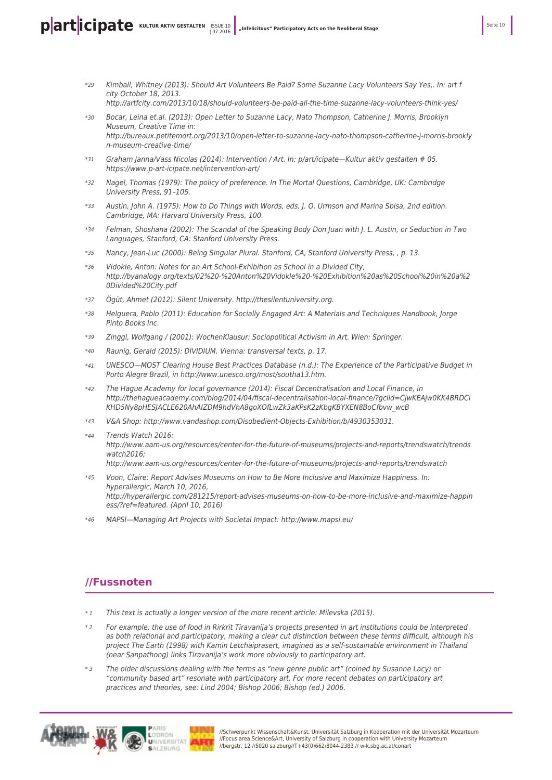**p** art **icipate KULTUR AKTIV GESTALTEN ISSUE 10** 

n-museum-creative-time/

- \*29 Kimball, Whitney (2013): Should Art Volunteers Be Paid? Some Suzanne Lacy Volunteers Say Yes,. In: art f city October 18, 2013. http://artfcity.com/2013/10/18/should-volunteers-be-paid-all-the-time-suzanne-lacy-volunteers-think-yes/
- \*30 Bocar, Leina et.al. (2013): Open Letter to Suzanne Lacy, Nato Thompson, Catherine J. Morris, Brooklyn Museum, Creative Time in: http://bureaux.petitemort.org/2013/10/open-letter-to-suzanne-lacy-nato-thompson-catherine-j-morris-brookly
- \*31 Graham Janna/Vass Nicolas (2014): Intervention / Art. In: p/art/icipate—Kultur aktiv gestalten # 05. https://www.p-art-icipate.net/intervention-art/
- \*32 Nagel, Thomas (1979): The policy of preference. In The Mortal Questions, Cambridge, UK: Cambridge University Press, 91–105.
- \*33 Austin, John A. (1975): How to Do Things with Words, eds. J. O. Urmson and Marina Sbisa, 2nd edition. Cambridge, MA: Harvard University Press, 100.
- \*34 Felman, Shoshana (2002): The Scandal of the Speaking Body Don Juan with J. L. Austin, or Seduction in Two Languages, Stanford, CA: Stanford University Press.
- \*35 Nancy, Jean-Luc (2000): Being Singular Plural. Stanford, CA, Stanford University Press, , p. 13.
- \*36 Vidokle, Anton: Notes for an Art School-Exhibition as School in a Divided City, [http://byanalogy.org/texts/02%20-%20Anton%20Vidokle%20-%20Exhibition%20as%20School%20in%20a%2](http://byanalogy.org/texts/02%20-%20Anton%20Vidokle%20-%20Exhibition%20as%20School%20in%20a%20Divided%20City.pdf) [0Divided%20City.pdf](http://byanalogy.org/texts/02%20-%20Anton%20Vidokle%20-%20Exhibition%20as%20School%20in%20a%20Divided%20City.pdf)
- \*37 Ögüt, Ahmet (2012): Silent University. [http://thesilentuniversity.org](http://thesilentuniversity.org/).
- \*38 Helguera, Pablo (2011): Education for Socially Engaged Art: A Materials and Techniques Handbook, Jorge Pinto Books Inc.
- \*39 Zinggl, Wolfgang / (2001): WochenKlausur: Sociopolitical Activism in Art. Wien: Springer.
- \*40 Raunig, Gerald (2015): DIVIDIUM. Vienna: transversal texts, p. 17.
- \*41 UNESCO—MOST Clearing House Best Practices Database (n.d.): The Experience of the Participative Budget in Porto Alegre Brazil, in [http://www.unesco.org/most/southa13.htm.](http://www.unesco.org/most/southa13.htm)
- \*42 The Hague Academy for local governance (2014): Fiscal Decentralisation and Local Finance, in [http://thehagueacademy.com/blog/2014/04/fiscal-decentralisation-local-finance/?gclid=CjwKEAjw0KK4BRDCi](http://thehagueacademy.com/blog/2014/04/fiscal-decentralisation-local-finance/?gclid=CjwKEAjw0KK4BRDCiKHD5Ny8pHESJACLE620AhAIZDM9hdVhA8goXOfLwZk3aKPsK2zKbgKBYXEN8BoCfbvw_wcB) KHD5Ny8pHESJACLE620AhAIZDM9hdVhA8qoXOfLwZk3aKPsK2zKbqKBYXEN8BoCfbvw\_wcB
- \*43 V&A Shop:<http://www.vandashop.com/Disobedient-Objects-Exhibition/b/4930353031>.
- \*44 Trends Watch 2016: [http://www.aam-us.org/resources/center-for-the-future-of-museums/projects-and-reports/trendswatch/trends](http://www.aam-us.org/resources/center-for-the-future-of-museums/projects-and-reports/trendswatch/trendswatch2016) [watch2016](http://www.aam-us.org/resources/center-for-the-future-of-museums/projects-and-reports/trendswatch/trendswatch2016); <http://www.aam-us.org/resources/center-for-the-future-of-museums/projects-and-reports/trendswatch>
- \*45 Voon, Claire: Report Advises Museums on How to Be More Inclusive and Maximize Happiness. In: hyperallergic, March 10, 2016, [http://hyperallergic.com/281215/report-advises-museums-on-how-to-be-more-inclusive-and-maximize-happin](http://hyperallergic.com/281215/report-advises-museums-on-how-to-be-more-inclusive-and-maximize-happiness/?ref=featured) [ess/?ref=featured](http://hyperallergic.com/281215/report-advises-museums-on-how-to-be-more-inclusive-and-maximize-happiness/?ref=featured). (April 10, 2016)
- \*46 MAPSI—Managing Art Projects with Societal Impact:<http://www.mapsi.eu/>

## **//Fussnoten**

- \* 1 This text is actually a longer version of the more recent article: Milevska (2015).
- \* 2 For example, the use of food in Rirkrit Tiravanija's projects presented in art institutions could be interpreted as both relational and participatory, making a clear cut distinction between these terms difficult, although his project The Earth (1998) with Kamin Letchaiprasert, imagined as a self-sustainable environment in Thailand (near Sanpathong) links Tiravanija's work more obviously to participatory art.
- \* 3 The older discussions dealing with the terms as "new genre public art" (coined by Susanne Lacy) or "community based art" resonate with participatory art. For more recent debates on participatory art practices and theories, see: Lind 2004; Bishop 2006; Bishop (ed.) 2006.



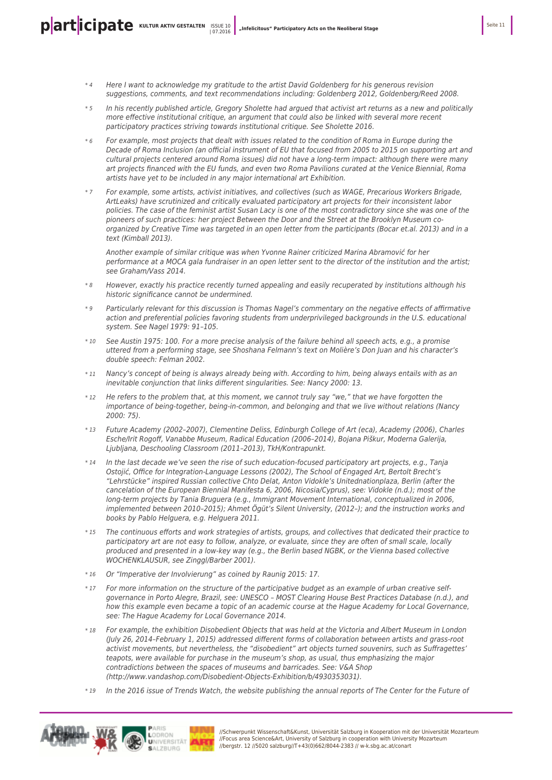- 
- \* 4 Here I want to acknowledge my gratitude to the artist David Goldenberg for his generous revision suggestions, comments, and text recommendations including: Goldenberg 2012, Goldenberg/Reed 2008.
- \* 5 In his recently published article, Gregory Sholette had argued that activist art returns as a new and politically more effective institutional critique, an argument that could also be linked with several more recent participatory practices striving towards institutional critique. See Sholette 2016.
- \* 6 For example, most projects that dealt with issues related to the condition of Roma in Europe during the Decade of Roma Inclusion (an official instrument of EU that focused from 2005 to 2015 on supporting art and cultural projects centered around Roma issues) did not have a long-term impact: although there were many art projects financed with the EU funds, and even two Roma Pavilions curated at the Venice Biennial, Roma artists have yet to be included in any major international art Exhibition.
- For example, some artists, activist initiatives, and collectives (such as [WAGE,](http://www.wageforwork.com/) [Precarious Workers Brigade](http://precariousworkersbrigade.tumblr.com/), ArtLeaks) have scrutinized and critically evaluated participatory art projects for their inconsistent labor policies. The case of the feminist artist Susan Lacy is one of the most contradictory since she was one of the pioneers of such practices: her project Between the Door and the Street at the Brooklyn Museum coorganized by Creative Time was targeted in an open letter from the participants (Bocar et.al. 2013) and in a text (Kimball 2013).

Another example of similar critique was when Yvonne Rainer criticized Marina Abramović for her performance at a MOCA gala fundraiser in an open letter sent to the director of the institution and the artist; see Graham/Vass 2014.

- \* 8 However, exactly his practice recently turned appealing and easily recuperated by institutions although his historic significance cannot be undermined.
- \* 9 Particularly relevant for this discussion is Thomas Nagel's commentary on the negative effects of affirmative action and preferential policies favoring students from underprivileged backgrounds in the U.S. educational system. See Nagel 1979: 91–105.
- \* 10 See Austin 1975: 100. For a more precise analysis of the failure behind all speech acts, e.g., a promise uttered from a performing stage, see Shoshana Felmann's text on Molière's Don Juan and his character's double speech: Felman 2002.
- \* 11 Nancy's concept of being is always already being with. According to him, being always entails with as an inevitable conjunction that links different singularities. See: Nancy 2000: 13.
- \* 12 He refers to the problem that, at this moment, we cannot truly say "we," that we have forgotten the importance of being-together, being-in-common, and belonging and that we live without relations (Nancy 2000: 75).
- \* 13 Future Academy (2002–2007), Clementine Deliss, Edinburgh College of Art (eca), Academy (2006), Charles Esche/Irit Rogoff, Vanabbe Museum, Radical Education (2006–2014), Bojana Piškur, Moderna Galerija, Ljubljana, Deschooling Classroom (2011–2013), TkH/Kontrapunkt.
- \* 14 In the last decade we've seen the rise of such education-focused participatory art projects, e.g., Tanja Ostojić, Office for Integration-Language Lessons (2002), The School of Engaged Art, Bertolt Brecht's "Lehrstücke" inspired Russian collective Chto Delat, Anton Vidokle's Unitednationplaza, Berlin (after the cancelation of the European Biennial Manifesta 6, 2006, Nicosia/Cyprus), see: Vidokle (n.d.); most of the long-term projects by Tania Bruguera (e.g., Immigrant Movement International, conceptualized in 2006, implemented between 2010–2015); Ahmet Ögüt's Silent University, (2012–); and the instruction works and books by [Pablo Helguera,](http://www.amazon.com/s/ref=dp_byline_sr_book_1?ie=UTF8&field-author=Pablo+Helguera&search-alias=books&text=Pablo+Helguera&sort=relevancerank) e.g. Helguera 2011.
- \* 15 The continuous efforts and work strategies of artists, groups, and collectives that dedicated their practice to participatory art are not easy to follow, analyze, or evaluate, since they are often of small scale, locally produced and presented in a low-key way (e.g., the Berlin based NGBK, or the Vienna based collective WOCHENKLAUSUR, see Zinggl/Barber 2001).
- \* 16 Or "Imperative der Involvierung" as coined by Raunig 2015: 17.
- \* 17 For more information on the structure of the participative budget as an example of urban creative selfgovernance in Porto Alegre, Brazil, see: UNESCO – MOST Clearing House Best Practices Database (n.d.), and how this example even became a topic of an academic course at the Hague Academy for Local Governance, see: The Hague Academy for Local Governance 2014.
- \* 18 For example, the exhibition Disobedient Objects that was held at the Victoria and Albert Museum in London (July 26, 2014–February 1, 2015) addressed different forms of collaboration between artists and grass-root activist movements, but nevertheless, the "disobedient" art objects turned souvenirs, such as Suffragettes' teapots, were available for purchase in the museum's shop, as usual, thus emphasizing the major contradictions between the spaces of museums and barricades. See: V&A Shop (http://www.vandashop.com/Disobedient-Objects-Exhibition/b/4930353031).
- \* 19 In the 2016 issue of Trends Watch, the website publishing the annual reports of The [Center for the Future of](http://www.aam-us.org/resources/center-for-the-future-of-museums)